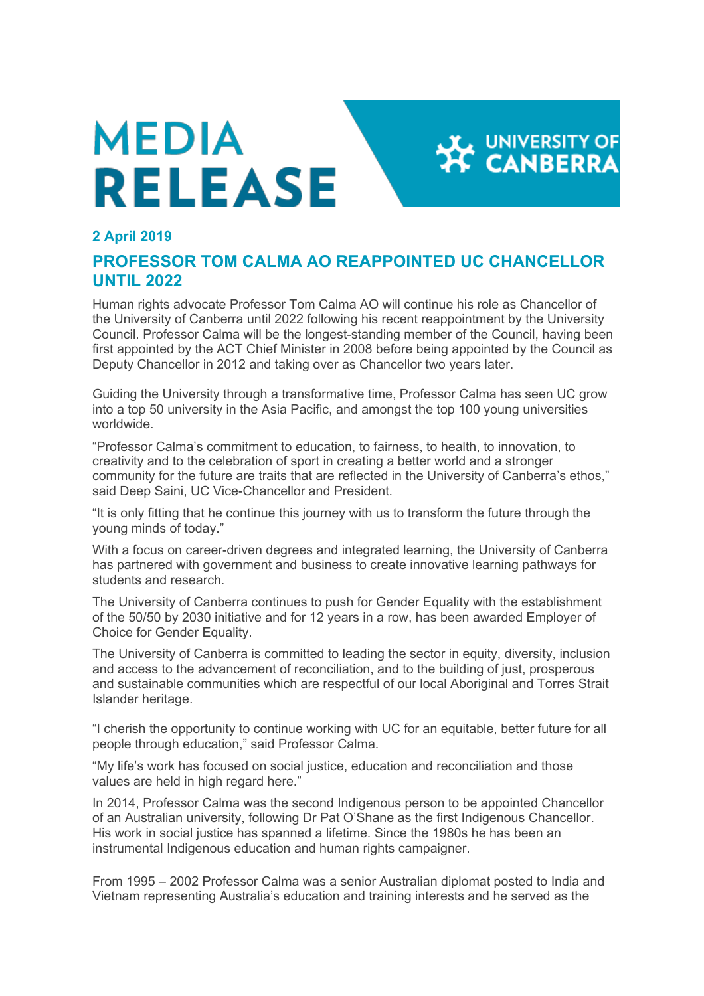## **MEDIA RELEASE**



## **2 April 2019**

## **PROFESSOR TOM CALMA AO REAPPOINTED UC CHANCELLOR UNTIL 2022**

Human rights advocate Professor Tom Calma AO will continue his role as Chancellor of the University of Canberra until 2022 following his recent reappointment by the University Council. Professor Calma will be the longest-standing member of the Council, having been first appointed by the ACT Chief Minister in 2008 before being appointed by the Council as Deputy Chancellor in 2012 and taking over as Chancellor two years later.

Guiding the University through a transformative time, Professor Calma has seen UC grow into a top 50 university in the Asia Pacific, and amongst the top 100 young universities worldwide.

"Professor Calma's commitment to education, to fairness, to health, to innovation, to creativity and to the celebration of sport in creating a better world and a stronger community for the future are traits that are reflected in the University of Canberra's ethos," said Deep Saini, UC Vice-Chancellor and President.

"It is only fitting that he continue this journey with us to transform the future through the young minds of today."

With a focus on career-driven degrees and integrated learning, the University of Canberra has partnered with government and business to create innovative learning pathways for students and research.

The University of Canberra continues to push for Gender Equality with the establishment of the 50/50 by 2030 initiative and for 12 years in a row, has been awarded Employer of Choice for Gender Equality.

The University of Canberra is committed to leading the sector in equity, diversity, inclusion and access to the advancement of reconciliation, and to the building of just, prosperous and sustainable communities which are respectful of our local Aboriginal and Torres Strait Islander heritage.

"I cherish the opportunity to continue working with UC for an equitable, better future for all people through education," said Professor Calma.

"My life's work has focused on social justice, education and reconciliation and those values are held in high regard here."

In 2014, Professor Calma was the second Indigenous person to be appointed Chancellor of an Australian university, following Dr Pat O'Shane as the first Indigenous Chancellor. His work in social justice has spanned a lifetime. Since the 1980s he has been an instrumental Indigenous education and human rights campaigner.

From 1995 – 2002 Professor Calma was a senior Australian diplomat posted to India and Vietnam representing Australia's education and training interests and he served as the